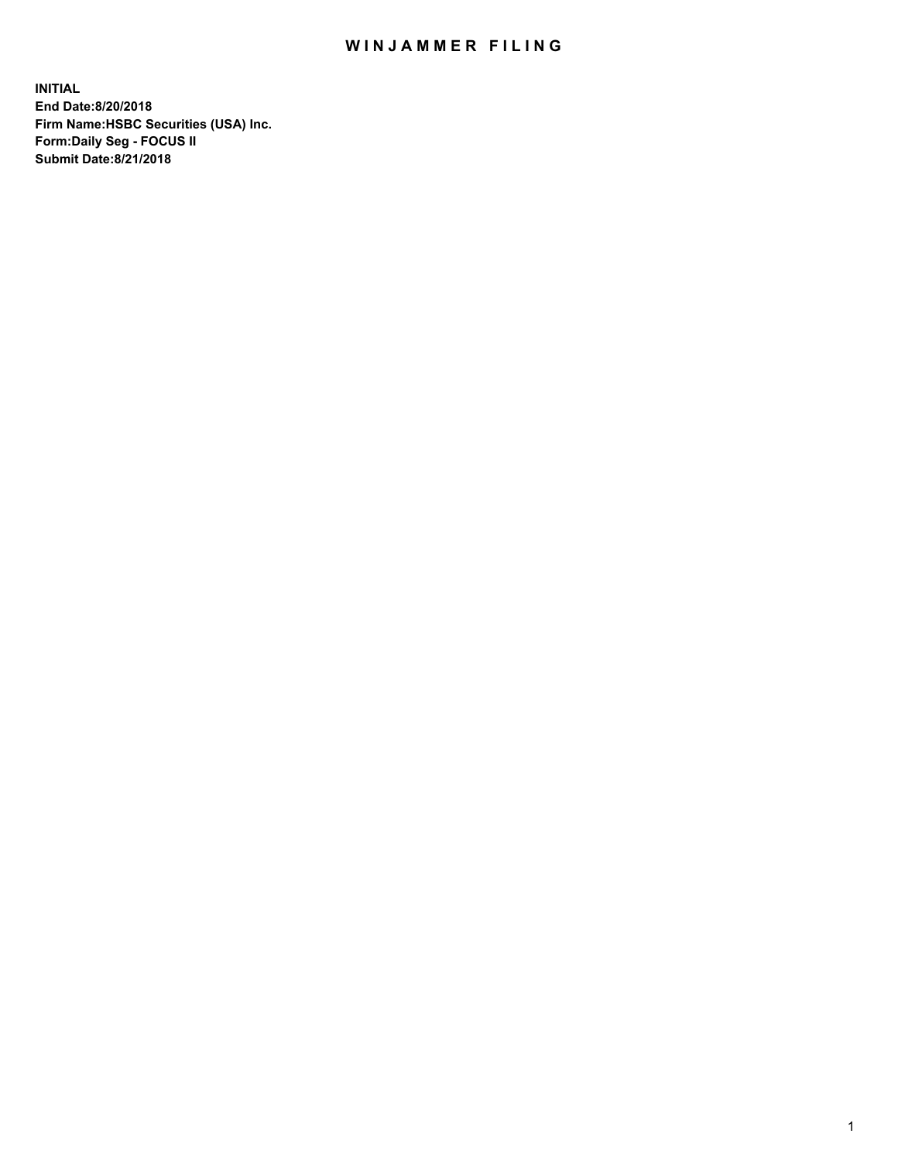## WIN JAMMER FILING

**INITIAL End Date:8/20/2018 Firm Name:HSBC Securities (USA) Inc. Form:Daily Seg - FOCUS II Submit Date:8/21/2018**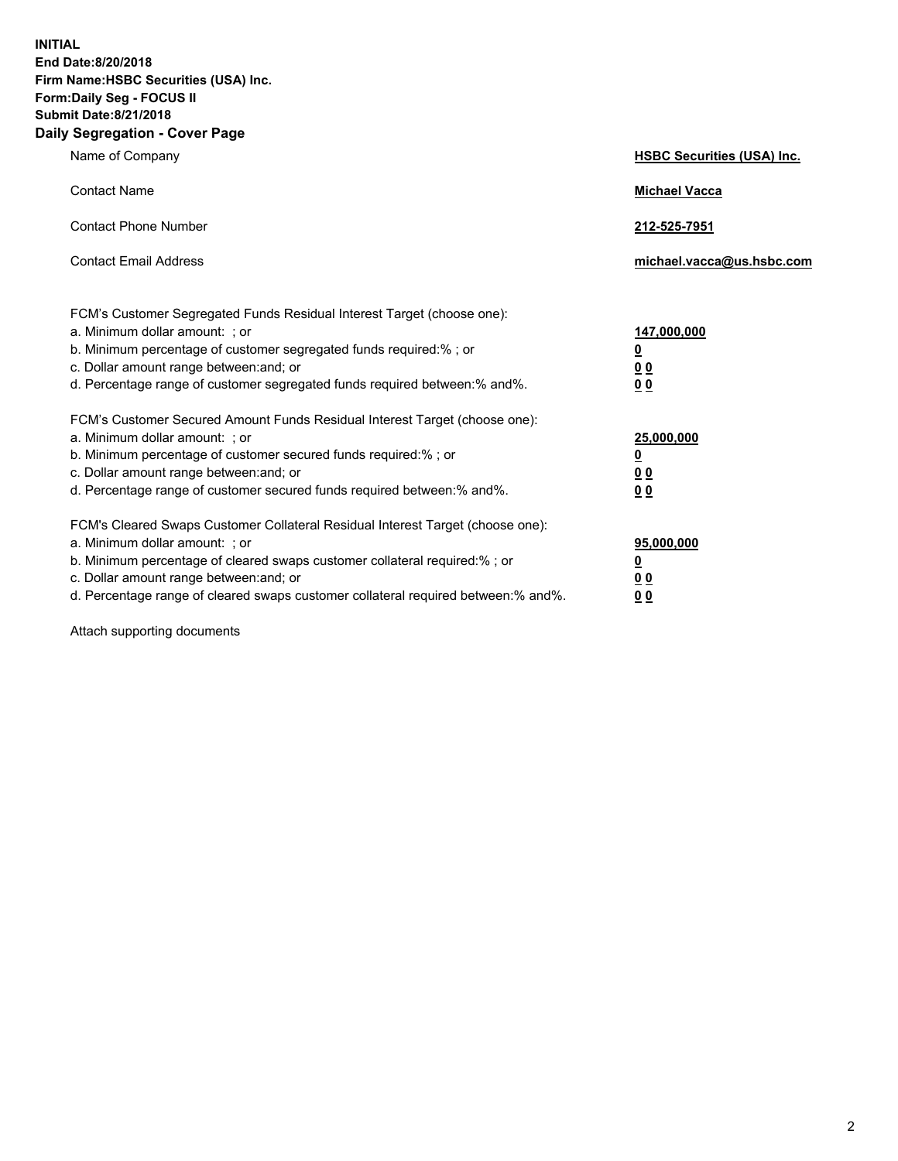**INITIAL End Date:8/20/2018 Firm Name:HSBC Securities (USA) Inc. Form:Daily Seg - FOCUS II Submit Date:8/21/2018 Daily Segregation - Cover Page**

| Name of Company                                                                                                                                                                                                                                                                                                                | <b>HSBC Securities (USA) Inc.</b>                                          |
|--------------------------------------------------------------------------------------------------------------------------------------------------------------------------------------------------------------------------------------------------------------------------------------------------------------------------------|----------------------------------------------------------------------------|
| <b>Contact Name</b>                                                                                                                                                                                                                                                                                                            | <b>Michael Vacca</b>                                                       |
| <b>Contact Phone Number</b>                                                                                                                                                                                                                                                                                                    | 212-525-7951                                                               |
| <b>Contact Email Address</b>                                                                                                                                                                                                                                                                                                   | michael.vacca@us.hsbc.com                                                  |
| FCM's Customer Segregated Funds Residual Interest Target (choose one):<br>a. Minimum dollar amount: : or<br>b. Minimum percentage of customer segregated funds required:% ; or<br>c. Dollar amount range between: and; or<br>d. Percentage range of customer segregated funds required between:% and%.                         | 147,000,000<br>$\overline{\mathbf{0}}$<br>0 <sub>0</sub><br>0 <sub>0</sub> |
| FCM's Customer Secured Amount Funds Residual Interest Target (choose one):<br>a. Minimum dollar amount: ; or<br>b. Minimum percentage of customer secured funds required:%; or<br>c. Dollar amount range between: and; or<br>d. Percentage range of customer secured funds required between:% and%.                            | 25,000,000<br><u>0</u><br>0 <sub>0</sub><br>00                             |
| FCM's Cleared Swaps Customer Collateral Residual Interest Target (choose one):<br>a. Minimum dollar amount: ; or<br>b. Minimum percentage of cleared swaps customer collateral required:% ; or<br>c. Dollar amount range between: and; or<br>d. Percentage range of cleared swaps customer collateral required between:% and%. | 95,000,000<br><u>0</u><br>00<br>0 <sub>0</sub>                             |

Attach supporting documents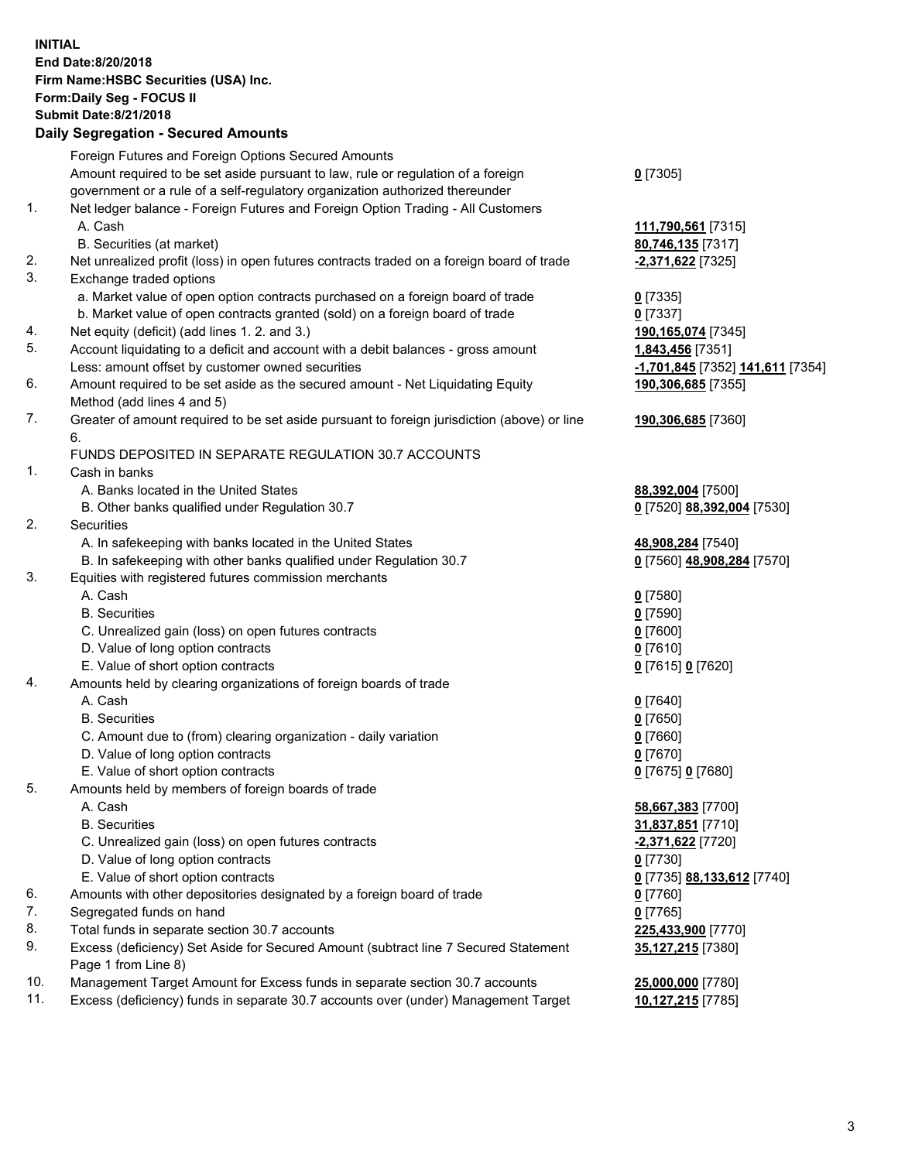**INITIAL End Date:8/20/2018 Firm Name:HSBC Securities (USA) Inc. Form:Daily Seg - FOCUS II Submit Date:8/21/2018 Daily Segregation - Secured Amounts** Foreign Futures and Foreign Options Secured Amounts Amount required to be set aside pursuant to law, rule or regulation of a foreign government or a rule of a self-regulatory organization authorized thereunder **0** [7305] 1. Net ledger balance - Foreign Futures and Foreign Option Trading - All Customers A. Cash **111,790,561** [7315] B. Securities (at market) **80,746,135** [7317] 2. Net unrealized profit (loss) in open futures contracts traded on a foreign board of trade **-2,371,622** [7325] 3. Exchange traded options a. Market value of open option contracts purchased on a foreign board of trade **0** [7335] b. Market value of open contracts granted (sold) on a foreign board of trade **0** [7337] 4. Net equity (deficit) (add lines 1. 2. and 3.) **190,165,074** [7345] 5. Account liquidating to a deficit and account with a debit balances - gross amount **1,843,456** [7351] Less: amount offset by customer owned securities **-1,701,845** [7352] **141,611** [7354] 6. Amount required to be set aside as the secured amount - Net Liquidating Equity Method (add lines 4 and 5) **190,306,685** [7355] 7. Greater of amount required to be set aside pursuant to foreign jurisdiction (above) or line 6. **190,306,685** [7360] FUNDS DEPOSITED IN SEPARATE REGULATION 30.7 ACCOUNTS 1. Cash in banks A. Banks located in the United States **88,392,004** [7500] B. Other banks qualified under Regulation 30.7 **0** [7520] **88,392,004** [7530] 2. Securities A. In safekeeping with banks located in the United States **48,908,284** [7540] B. In safekeeping with other banks qualified under Regulation 30.7 **0** [7560] **48,908,284** [7570] 3. Equities with registered futures commission merchants A. Cash **0** [7580] B. Securities **0** [7590] C. Unrealized gain (loss) on open futures contracts **0** [7600] D. Value of long option contracts **0** [7610] E. Value of short option contracts **0** [7615] **0** [7620] 4. Amounts held by clearing organizations of foreign boards of trade A. Cash **0** [7640] B. Securities **0** [7650] C. Amount due to (from) clearing organization - daily variation **0** [7660] D. Value of long option contracts **0** [7670] E. Value of short option contracts **0** [7675] **0** [7680] 5. Amounts held by members of foreign boards of trade A. Cash **58,667,383** [7700] B. Securities **31,837,851** [7710] C. Unrealized gain (loss) on open futures contracts **-2,371,622** [7720] D. Value of long option contracts **0** [7730] E. Value of short option contracts **0** [7735] **88,133,612** [7740] 6. Amounts with other depositories designated by a foreign board of trade **0** [7760] 7. Segregated funds on hand **0** [7765] 8. Total funds in separate section 30.7 accounts **225,433,900** [7770]

- 9. Excess (deficiency) Set Aside for Secured Amount (subtract line 7 Secured Statement Page 1 from Line 8)
- 10. Management Target Amount for Excess funds in separate section 30.7 accounts **25,000,000** [7780]
- 11. Excess (deficiency) funds in separate 30.7 accounts over (under) Management Target **10,127,215** [7785]

**35,127,215** [7380]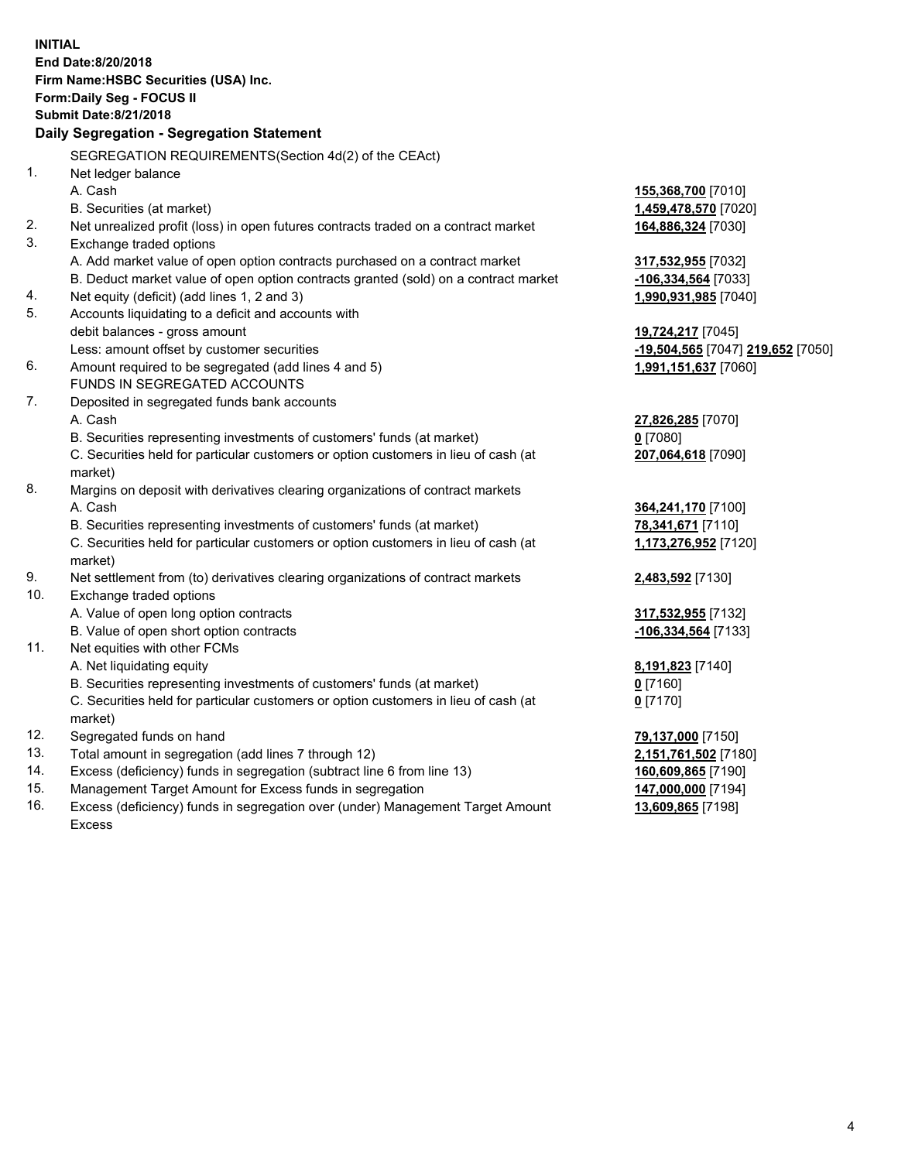**INITIAL End Date:8/20/2018 Firm Name:HSBC Securities (USA) Inc. Form:Daily Seg - FOCUS II Submit Date:8/21/2018 Daily Segregation - Segregation Statement** SEGREGATION REQUIREMENTS(Section 4d(2) of the CEAct) 1. Net ledger balance A. Cash **155,368,700** [7010] B. Securities (at market) **1,459,478,570** [7020] 2. Net unrealized profit (loss) in open futures contracts traded on a contract market **164,886,324** [7030] 3. Exchange traded options A. Add market value of open option contracts purchased on a contract market **317,532,955** [7032] B. Deduct market value of open option contracts granted (sold) on a contract market **-106,334,564** [7033] 4. Net equity (deficit) (add lines 1, 2 and 3) **1,990,931,985** [7040] 5. Accounts liquidating to a deficit and accounts with debit balances - gross amount **19,724,217** [7045] Less: amount offset by customer securities **-19,504,565** [7047] **219,652** [7050] 6. Amount required to be segregated (add lines 4 and 5) **1,991,151,637** [7060] FUNDS IN SEGREGATED ACCOUNTS 7. Deposited in segregated funds bank accounts A. Cash **27,826,285** [7070] B. Securities representing investments of customers' funds (at market) **0** [7080] C. Securities held for particular customers or option customers in lieu of cash (at market) **207,064,618** [7090] 8. Margins on deposit with derivatives clearing organizations of contract markets A. Cash **364,241,170** [7100] B. Securities representing investments of customers' funds (at market) **78,341,671** [7110] C. Securities held for particular customers or option customers in lieu of cash (at market) **1,173,276,952** [7120] 9. Net settlement from (to) derivatives clearing organizations of contract markets **2,483,592** [7130] 10. Exchange traded options A. Value of open long option contracts **317,532,955** [7132] B. Value of open short option contracts **-106,334,564** [7133] 11. Net equities with other FCMs A. Net liquidating equity **8,191,823** [7140] B. Securities representing investments of customers' funds (at market) **0** [7160] C. Securities held for particular customers or option customers in lieu of cash (at market) **0** [7170] 12. Segregated funds on hand **79,137,000** [7150] 13. Total amount in segregation (add lines 7 through 12) **2,151,761,502** [7180] 14. Excess (deficiency) funds in segregation (subtract line 6 from line 13) **160,609,865** [7190] 15. Management Target Amount for Excess funds in segregation **147,000,000** [7194] 16. Excess (deficiency) funds in segregation over (under) Management Target Amount **13,609,865** [7198]

Excess